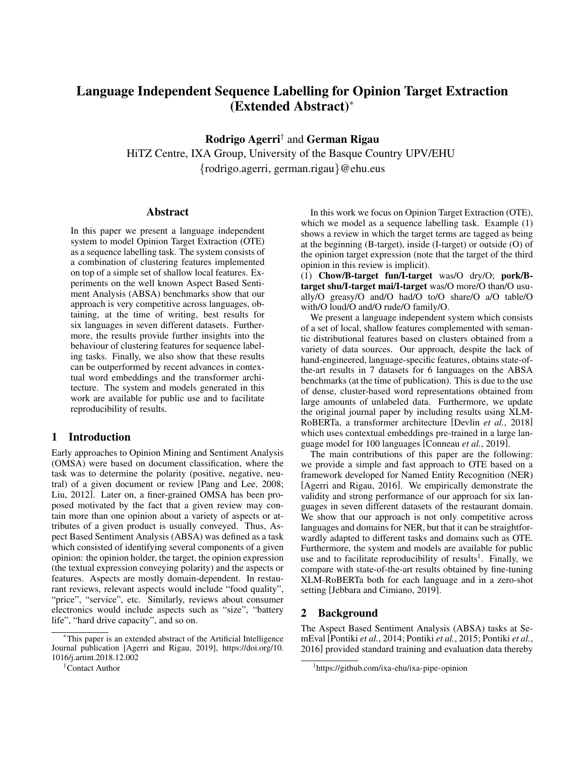# Language Independent Sequence Labelling for Opinion Target Extraction (Extended Abstract)<sup>∗</sup>

Rodrigo Agerri† and German Rigau

HiTZ Centre, IXA Group, University of the Basque Country UPV/EHU

{rodrigo.agerri, german.rigau}@ehu.eus

#### Abstract

In this paper we present a language independent system to model Opinion Target Extraction (OTE) as a sequence labelling task. The system consists of a combination of clustering features implemented on top of a simple set of shallow local features. Experiments on the well known Aspect Based Sentiment Analysis (ABSA) benchmarks show that our approach is very competitive across languages, obtaining, at the time of writing, best results for six languages in seven different datasets. Furthermore, the results provide further insights into the behaviour of clustering features for sequence labeling tasks. Finally, we also show that these results can be outperformed by recent advances in contextual word embeddings and the transformer architecture. The system and models generated in this work are available for public use and to facilitate reproducibility of results.

#### 1 Introduction

Early approaches to Opinion Mining and Sentiment Analysis (OMSA) were based on document classification, where the task was to determine the polarity (positive, negative, neutral) of a given document or review [\[Pang and Lee, 2008;](#page-4-0) [Liu, 2012\]](#page-4-1). Later on, a finer-grained OMSA has been proposed motivated by the fact that a given review may contain more than one opinion about a variety of aspects or attributes of a given product is usually conveyed. Thus, Aspect Based Sentiment Analysis (ABSA) was defined as a task which consisted of identifying several components of a given opinion: the opinion holder, the target, the opinion expression (the textual expression conveying polarity) and the aspects or features. Aspects are mostly domain-dependent. In restaurant reviews, relevant aspects would include "food quality", "price", "service", etc. Similarly, reviews about consumer electronics would include aspects such as "size", "battery life", "hard drive capacity", and so on.

In this work we focus on Opinion Target Extraction (OTE), which we model as a sequence labelling task. Example (1) shows a review in which the target terms are tagged as being at the beginning (B-target), inside (I-target) or outside (O) of the opinion target expression (note that the target of the third opinion in this review is implicit).

(1) Chow/B-target fun/I-target was/O dry/O; pork/Btarget shu/I-target mai/I-target was/O more/O than/O usually/O greasy/O and/O had/O to/O share/O a/O table/O with/O loud/O and/O rude/O family/O.

We present a language independent system which consists of a set of local, shallow features complemented with semantic distributional features based on clusters obtained from a variety of data sources. Our approach, despite the lack of hand-engineered, language-specific features, obtains state-ofthe-art results in 7 datasets for 6 languages on the ABSA benchmarks (at the time of publication). This is due to the use of dense, cluster-based word representations obtained from large amounts of unlabeled data. Furthermore, we update the original journal paper by including results using XLM-RoBERTa, a transformer architecture [\[Devlin](#page-4-2) *et al.*, 2018] which uses contextual embeddings pre-trained in a large language model for 100 languages [\[Conneau](#page-4-3) *et al.*, 2019].

The main contributions of this paper are the following: we provide a simple and fast approach to OTE based on a framework developed for Named Entity Recognition (NER) [\[Agerri and Rigau, 2016\]](#page-4-4). We empirically demonstrate the validity and strong performance of our approach for six languages in seven different datasets of the restaurant domain. We show that our approach is not only competitive across languages and domains for NER, but that it can be straightforwardly adapted to different tasks and domains such as OTE. Furthermore, the system and models are available for public use and to facilitate reproducibility of results<sup>[1](#page-0-0)</sup>. Finally, we compare with state-of-the-art results obtained by fine-tuning XLM-RoBERTa both for each language and in a zero-shot setting [\[Jebbara and Cimiano, 2019\]](#page-4-5).

#### <span id="page-0-1"></span>2 Background

The Aspect Based Sentiment Analysis (ABSA) tasks at SemEval [\[Pontiki](#page-4-6) *et al.*, 2014; [Pontiki](#page-4-7) *et al.*, 2015; [Pontiki](#page-4-8) *et al.*, [2016\]](#page-4-8) provided standard training and evaluation data thereby

<sup>∗</sup>This paper is an extended abstract of the Artificial Intelligence Journal publication [Agerri and Rigau, 2019], [https://doi.org/10.](https://doi.org/10.1016/j.artint.2018.12.002) [1016/j.artint.2018.12.002](https://doi.org/10.1016/j.artint.2018.12.002)

<sup>†</sup>Contact Author

<span id="page-0-0"></span><sup>1</sup> <https://github.com/ixa-ehu/ixa-pipe-opinion>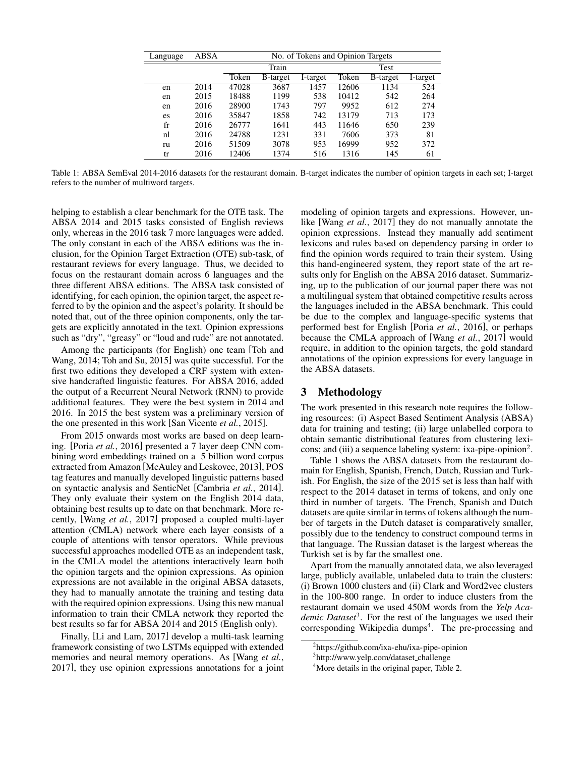<span id="page-1-1"></span>

| Language    | ABSA | No. of Tokens and Opinion Targets |          |          |       |          |          |  |
|-------------|------|-----------------------------------|----------|----------|-------|----------|----------|--|
|             |      |                                   | Train    |          | Test  |          |          |  |
|             |      | Token                             | B-target | I-target | Token | B-target | I-target |  |
| en          | 2014 | 47028                             | 3687     | 1457     | 12606 | 1134     | 524      |  |
| en          | 2015 | 18488                             | 1199     | 538      | 10412 | 542      | 264      |  |
| en          | 2016 | 28900                             | 1743     | 797      | 9952  | 612      | 274      |  |
| es          | 2016 | 35847                             | 1858     | 742      | 13179 | 713      | 173      |  |
| $_{\rm fr}$ | 2016 | 26777                             | 1641     | 443      | 11646 | 650      | 239      |  |
| nl          | 2016 | 24788                             | 1231     | 331      | 7606  | 373      | 81       |  |
| ru          | 2016 | 51509                             | 3078     | 953      | 16999 | 952      | 372      |  |
| tr          | 2016 | 12406                             | 1374     | 516      | 1316  | 145      | 61       |  |

Table 1: ABSA SemEval 2014-2016 datasets for the restaurant domain. B-target indicates the number of opinion targets in each set; I-target refers to the number of multiword targets.

helping to establish a clear benchmark for the OTE task. The ABSA 2014 and 2015 tasks consisted of English reviews only, whereas in the 2016 task 7 more languages were added. The only constant in each of the ABSA editions was the inclusion, for the Opinion Target Extraction (OTE) sub-task, of restaurant reviews for every language. Thus, we decided to focus on the restaurant domain across 6 languages and the three different ABSA editions. The ABSA task consisted of identifying, for each opinion, the opinion target, the aspect referred to by the opinion and the aspect's polarity. It should be noted that, out of the three opinion components, only the targets are explicitly annotated in the text. Opinion expressions such as "dry", "greasy" or "loud and rude" are not annotated.

Among the participants (for English) one team [\[Toh and](#page-4-9) [Wang, 2014;](#page-4-9) [Toh and Su, 2015\]](#page-4-10) was quite successful. For the first two editions they developed a CRF system with extensive handcrafted linguistic features. For ABSA 2016, added the output of a Recurrent Neural Network (RNN) to provide additional features. They were the best system in 2014 and 2016. In 2015 the best system was a preliminary version of the one presented in this work [\[San Vicente](#page-4-11) *et al.*, 2015].

From 2015 onwards most works are based on deep learning. [Poria *et al.*[, 2016\]](#page-4-12) presented a 7 layer deep CNN combining word embeddings trained on a 5 billion word corpus extracted from Amazon [\[McAuley and Leskovec, 2013\]](#page-4-13), POS tag features and manually developed linguistic patterns based on syntactic analysis and SenticNet [\[Cambria](#page-4-14) *et al.*, 2014]. They only evaluate their system on the English 2014 data, obtaining best results up to date on that benchmark. More recently, [Wang *et al.*[, 2017\]](#page-4-15) proposed a coupled multi-layer attention (CMLA) network where each layer consists of a couple of attentions with tensor operators. While previous successful approaches modelled OTE as an independent task, in the CMLA model the attentions interactively learn both the opinion targets and the opinion expressions. As opinion expressions are not available in the original ABSA datasets, they had to manually annotate the training and testing data with the required opinion expressions. Using this new manual information to train their CMLA network they reported the best results so far for ABSA 2014 and 2015 (English only).

Finally, [\[Li and Lam, 2017\]](#page-4-16) develop a multi-task learning framework consisting of two LSTMs equipped with extended memories and neural memory operations. As [\[Wang](#page-4-15) *et al.*, [2017\]](#page-4-15), they use opinion expressions annotations for a joint modeling of opinion targets and expressions. However, unlike [Wang *et al.*[, 2017\]](#page-4-15) they do not manually annotate the opinion expressions. Instead they manually add sentiment lexicons and rules based on dependency parsing in order to find the opinion words required to train their system. Using this hand-engineered system, they report state of the art results only for English on the ABSA 2016 dataset. Summarizing, up to the publication of our journal paper there was not a multilingual system that obtained competitive results across the languages included in the ABSA benchmark. This could be due to the complex and language-specific systems that performed best for English [Poria *et al.*[, 2016\]](#page-4-12), or perhaps because the CMLA approach of [Wang *et al.*[, 2017\]](#page-4-15) would require, in addition to the opinion targets, the gold standard annotations of the opinion expressions for every language in the ABSA datasets.

## 3 Methodology

The work presented in this research note requires the following resources: (i) Aspect Based Sentiment Analysis (ABSA) data for training and testing; (ii) large unlabelled corpora to obtain semantic distributional features from clustering lexi-cons; and (iii) a sequence labeling system: ixa-pipe-opinion<sup>[2](#page-1-0)</sup>.

Table [1](#page-1-1) shows the ABSA datasets from the restaurant domain for English, Spanish, French, Dutch, Russian and Turkish. For English, the size of the 2015 set is less than half with respect to the 2014 dataset in terms of tokens, and only one third in number of targets. The French, Spanish and Dutch datasets are quite similar in terms of tokens although the number of targets in the Dutch dataset is comparatively smaller, possibly due to the tendency to construct compound terms in that language. The Russian dataset is the largest whereas the Turkish set is by far the smallest one.

Apart from the manually annotated data, we also leveraged large, publicly available, unlabeled data to train the clusters: (i) Brown 1000 clusters and (ii) Clark and Word2vec clusters in the 100-800 range. In order to induce clusters from the restaurant domain we used 450M words from the *Yelp Academic Dataset*[3](#page-1-2) . For the rest of the languages we used their corresponding Wikipedia dumps<sup>[4](#page-1-3)</sup>. The pre-processing and

<span id="page-1-0"></span><sup>2</sup> <https://github.com/ixa-ehu/ixa-pipe-opinion>

<span id="page-1-2"></span><sup>3</sup> http://www.yelp.com/dataset challenge

<span id="page-1-3"></span><sup>&</sup>lt;sup>4</sup>More details in the original paper, Table 2.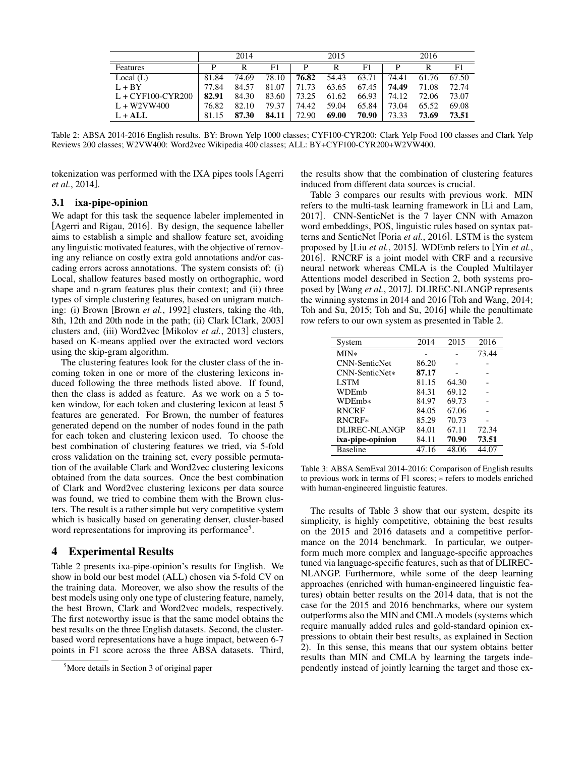<span id="page-2-1"></span>

|                     |       | 2014  |       |       | 2015  |       |       | 2016  |       |
|---------------------|-------|-------|-------|-------|-------|-------|-------|-------|-------|
| Features            | D     |       | F1    | P     | R     | F1    |       | R     | F1    |
| Local $(L)$         | 81.84 | 74.69 | 78.10 | 76.82 | 54.43 | 63.71 | 74.41 | 61.76 | 67.50 |
| $L + BY$            | 77.84 | 84.57 | 81.07 | 71.73 | 63.65 | 67.45 | 74.49 | 71.08 | 72.74 |
| $L + CYF100-CYR200$ | 82.91 | 84.30 | 83.60 | 73.25 | 61.62 | 66.93 | 74.12 | 72.06 | 73.07 |
| $L + W2VW400$       | 76.82 | 82.10 | 79.37 | 74.42 | 59.04 | 65.84 | 73.04 | 65.52 | 69.08 |
| $L + ALL$           | 81.15 | 87.30 | 84.11 | 72.90 | 69.00 | 70.90 | 73.33 | 73.69 | 73.51 |

Table 2: ABSA 2014-2016 English results. BY: Brown Yelp 1000 classes; CYF100-CYR200: Clark Yelp Food 100 classes and Clark Yelp Reviews 200 classes; W2VW400: Word2vec Wikipedia 400 classes; ALL: BY+CYF100-CYR200+W2VW400.

tokenization was performed with the IXA pipes tools [\[Agerri](#page-4-17) *et al.*[, 2014\]](#page-4-17).

### 3.1 ixa-pipe-opinion

We adapt for this task the sequence labeler implemented in [\[Agerri and Rigau, 2016\]](#page-4-4). By design, the sequence labeller aims to establish a simple and shallow feature set, avoiding any linguistic motivated features, with the objective of removing any reliance on costly extra gold annotations and/or cascading errors across annotations. The system consists of: (i) Local, shallow features based mostly on orthographic, word shape and n-gram features plus their context; and (ii) three types of simple clustering features, based on unigram matching: (i) Brown [\[Brown](#page-4-18) *et al.*, 1992] clusters, taking the 4th, 8th, 12th and 20th node in the path; (ii) Clark [\[Clark, 2003\]](#page-4-19) clusters and, (iii) Word2vec [\[Mikolov](#page-4-20) *et al.*, 2013] clusters, based on K-means applied over the extracted word vectors using the skip-gram algorithm.

The clustering features look for the cluster class of the incoming token in one or more of the clustering lexicons induced following the three methods listed above. If found, then the class is added as feature. As we work on a 5 token window, for each token and clustering lexicon at least 5 features are generated. For Brown, the number of features generated depend on the number of nodes found in the path for each token and clustering lexicon used. To choose the best combination of clustering features we tried, via 5-fold cross validation on the training set, every possible permutation of the available Clark and Word2vec clustering lexicons obtained from the data sources. Once the best combination of Clark and Word2vec clustering lexicons per data source was found, we tried to combine them with the Brown clusters. The result is a rather simple but very competitive system which is basically based on generating denser, cluster-based word representations for improving its performance<sup>[5](#page-2-0)</sup>.

#### 4 Experimental Results

Table [2](#page-2-1) presents ixa-pipe-opinion's results for English. We show in bold our best model (ALL) chosen via 5-fold CV on the training data. Moreover, we also show the results of the best models using only one type of clustering feature, namely, the best Brown, Clark and Word2vec models, respectively. The first noteworthy issue is that the same model obtains the best results on the three English datasets. Second, the clusterbased word representations have a huge impact, between 6-7 points in F1 score across the three ABSA datasets. Third, the results show that the combination of clustering features induced from different data sources is crucial.

Table [3](#page-2-2) compares our results with previous work. MIN refers to the multi-task learning framework in [\[Li and Lam,](#page-4-16) [2017\]](#page-4-16). CNN-SenticNet is the 7 layer CNN with Amazon word embeddings, POS, linguistic rules based on syntax patterns and SenticNet [Poria *et al.*[, 2016\]](#page-4-12). LSTM is the system proposed by [Liu *et al.*[, 2015\]](#page-4-21). WDEmb refers to [Yin *[et al.](#page-4-22)*, [2016\]](#page-4-22). RNCRF is a joint model with CRF and a recursive neural network whereas CMLA is the Coupled Multilayer Attentions model described in Section [2,](#page-0-1) both systems proposed by [Wang *et al.*[, 2017\]](#page-4-15). DLIREC-NLANGP represents the winning systems in 2014 and 2016 [\[Toh and Wang, 2014;](#page-4-9) [Toh and Su, 2015;](#page-4-10) [Toh and Su, 2016\]](#page-4-23) while the penultimate row refers to our own system as presented in Table [2.](#page-2-1)

<span id="page-2-2"></span>

| System               | 2014  | 2015  | 2016  |
|----------------------|-------|-------|-------|
| $MIN*$               |       |       | 73.44 |
| <b>CNN-SenticNet</b> | 86.20 |       |       |
| $CNN-SenticNet*$     | 87.17 |       |       |
| <b>LSTM</b>          | 81.15 | 64.30 |       |
| WDEmb                | 84.31 | 69.12 |       |
| WDEmb*               | 84.97 | 69.73 |       |
| <b>RNCRF</b>         | 84.05 | 67.06 |       |
| RNCRF*               | 85.29 | 70.73 |       |
| DLIREC-NLANGP        | 84.01 | 67.11 | 72.34 |
| ixa-pipe-opinion     | 84.11 | 70.90 | 73.51 |
| <b>Baseline</b>      | 47.16 | 48.06 | 44.07 |

Table 3: ABSA SemEval 2014-2016: Comparison of English results to previous work in terms of F1 scores; ∗ refers to models enriched with human-engineered linguistic features.

The results of Table [3](#page-2-2) show that our system, despite its simplicity, is highly competitive, obtaining the best results on the 2015 and 2016 datasets and a competitive performance on the 2014 benchmark. In particular, we outperform much more complex and language-specific approaches tuned via language-specific features, such as that of DLIREC-NLANGP. Furthermore, while some of the deep learning approaches (enriched with human-engineered linguistic features) obtain better results on the 2014 data, that is not the case for the 2015 and 2016 benchmarks, where our system outperforms also the MIN and CMLA models (systems which require manually added rules and gold-standard opinion expressions to obtain their best results, as explained in Section [2\)](#page-0-1). In this sense, this means that our system obtains better results than MIN and CMLA by learning the targets independently instead of jointly learning the target and those ex-

<span id="page-2-0"></span><sup>5</sup>More details in Section 3 of original paper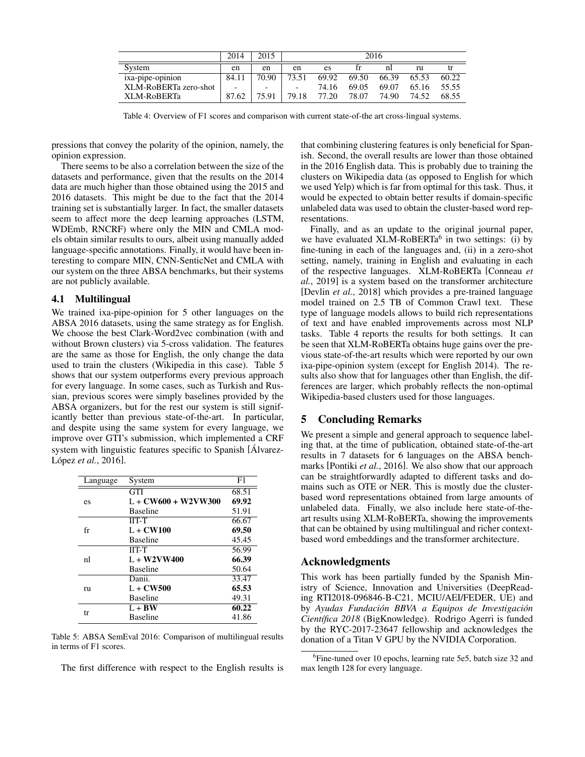<span id="page-3-2"></span>

|                       | 2014  | 2015                     | 2016                     |       |       |       |       |       |
|-----------------------|-------|--------------------------|--------------------------|-------|-------|-------|-------|-------|
| System                | en    | en                       | en                       | es    |       | nl    | ru    |       |
| ixa-pipe-opinion      | 84.11 | 70.90                    | 73.51                    | 69.92 | 69.50 | 66.39 | 65.53 | 60.22 |
| XLM-RoBERTa zero-shot | -     | $\overline{\phantom{0}}$ | $\overline{\phantom{a}}$ | 74.16 | 69.05 | 69.07 | 65.16 | 55.55 |
| XLM-RoBERTa           | 87.62 | 75.91                    | 79.18                    | 77.20 | 78.07 | 74.90 | 74.52 | 68.55 |

Table 4: Overview of F1 scores and comparison with current state-of-the art cross-lingual systems.

pressions that convey the polarity of the opinion, namely, the opinion expression.

There seems to be also a correlation between the size of the datasets and performance, given that the results on the 2014 data are much higher than those obtained using the 2015 and 2016 datasets. This might be due to the fact that the 2014 training set is substantially larger. In fact, the smaller datasets seem to affect more the deep learning approaches (LSTM, WDEmb, RNCRF) where only the MIN and CMLA models obtain similar results to ours, albeit using manually added language-specific annotations. Finally, it would have been interesting to compare MIN, CNN-SenticNet and CMLA with our system on the three ABSA benchmarks, but their systems are not publicly available.

#### 4.1 Multilingual

We trained ixa-pipe-opinion for 5 other languages on the ABSA 2016 datasets, using the same strategy as for English. We choose the best Clark-Word2vec combination (with and without Brown clusters) via 5-cross validation. The features are the same as those for English, the only change the data used to train the clusters (Wikipedia in this case). Table [5](#page-3-0) shows that our system outperforms every previous approach for every language. In some cases, such as Turkish and Russian, previous scores were simply baselines provided by the ABSA organizers, but for the rest our system is still significantly better than previous state-of-the-art. In particular, and despite using the same system for every language, we improve over GTI's submission, which implemented a CRF system with linguistic features specific to Spanish [\[Alvarez-](#page-4-24) López et al.[, 2016\]](#page-4-24).

<span id="page-3-0"></span>

| Language | System                | F1    |
|----------|-----------------------|-------|
|          | <b>GTI</b>            | 68.51 |
| es       | $L + CW600 + W2VW300$ | 69.92 |
|          | <b>Baseline</b>       | 51.91 |
|          | $IIT-T$               | 66.67 |
| fr       | $L + CW100$           | 69.50 |
|          | <b>Baseline</b>       | 45.45 |
|          | $IIT-T$               | 56.99 |
| nl       | $L + W2VW400$         | 66.39 |
|          | <b>Baseline</b>       | 50.64 |
|          | Danii.                | 33.47 |
| ru       | $L + CW500$           | 65.53 |
|          | <b>Baseline</b>       | 49.31 |
|          | $L + BW$              | 60.22 |
| tr       | <b>Baseline</b>       | 41.86 |

Table 5: ABSA SemEval 2016: Comparison of multilingual results in terms of F1 scores.

The first difference with respect to the English results is

that combining clustering features is only beneficial for Spanish. Second, the overall results are lower than those obtained in the 2016 English data. This is probably due to training the clusters on Wikipedia data (as opposed to English for which we used Yelp) which is far from optimal for this task. Thus, it would be expected to obtain better results if domain-specific unlabeled data was used to obtain the cluster-based word representations.

Finally, and as an update to the original journal paper, we have evaluated XLM-RoBERTa<sup>[6](#page-3-1)</sup> in two settings: (i) by fine-tuning in each of the languages and, (ii) in a zero-shot setting, namely, training in English and evaluating in each of the respective languages. XLM-RoBERTa [\[Conneau](#page-4-3) *et al.*[, 2019\]](#page-4-3) is a system based on the transformer architecture [\[Devlin](#page-4-2) *et al.*, 2018] which provides a pre-trained language model trained on 2.5 TB of Common Crawl text. These type of language models allows to build rich representations of text and have enabled improvements across most NLP tasks. Table [4](#page-3-2) reports the results for both settings. It can be seen that XLM-RoBERTa obtains huge gains over the previous state-of-the-art results which were reported by our own ixa-pipe-opinion system (except for English 2014). The results also show that for languages other than English, the differences are larger, which probably reflects the non-optimal Wikipedia-based clusters used for those languages.

## 5 Concluding Remarks

We present a simple and general approach to sequence labeling that, at the time of publication, obtained state-of-the-art results in 7 datasets for 6 languages on the ABSA benchmarks [\[Pontiki](#page-4-8) *et al.*, 2016]. We also show that our approach can be straightforwardly adapted to different tasks and domains such as OTE or NER. This is mostly due the clusterbased word representations obtained from large amounts of unlabeled data. Finally, we also include here state-of-theart results using XLM-RoBERTa, showing the improvements that can be obtained by using multilingual and richer contextbased word embeddings and the transformer architecture.

## Acknowledgments

This work has been partially funded by the Spanish Ministry of Science, Innovation and Universities (DeepReading RTI2018-096846-B-C21, MCIU/AEI/FEDER, UE) and by *Ayudas Fundación BBVA a Equipos de Investigación Cient´ıfica 2018* (BigKnowledge). Rodrigo Agerri is funded by the RYC-2017-23647 fellowship and acknowledges the donation of a Titan V GPU by the NVIDIA Corporation.

<span id="page-3-1"></span><sup>&</sup>lt;sup>6</sup>Fine-tuned over 10 epochs, learning rate 5e5, batch size 32 and max length 128 for every language.